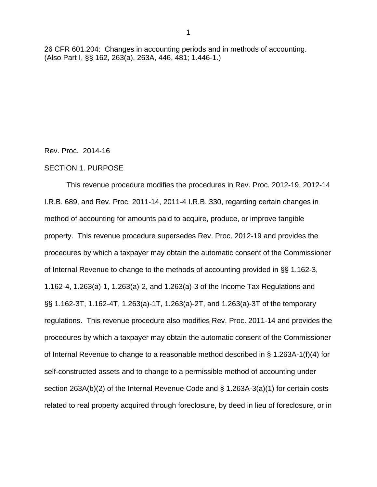26 CFR 601.204: Changes in accounting periods and in methods of accounting. (Also Part I, §§ 162, 263(a), 263A, 446, 481; 1.446-1.)

Rev. Proc. 2014-16

#### SECTION 1. PURPOSE

This revenue procedure modifies the procedures in Rev. Proc. 2012-19, 2012-14 I.R.B. 689, and Rev. Proc. 2011-14, 2011-4 I.R.B. 330, regarding certain changes in method of accounting for amounts paid to acquire, produce, or improve tangible property. This revenue procedure supersedes Rev. Proc. 2012-19 and provides the procedures by which a taxpayer may obtain the automatic consent of the Commissioner of Internal Revenue to change to the methods of accounting provided in §§ 1.162-3, 1.162-4, 1.263(a)-1, 1.263(a)-2, and 1.263(a)-3 of the Income Tax Regulations and §§ 1.162-3T, 1.162-4T, 1.263(a)-1T, 1.263(a)-2T, and 1.263(a)-3T of the temporary regulations. This revenue procedure also modifies Rev. Proc. 2011-14 and provides the procedures by which a taxpayer may obtain the automatic consent of the Commissioner of Internal Revenue to change to a reasonable method described in § 1.263A-1(f)(4) for self-constructed assets and to change to a permissible method of accounting under section 263A(b)(2) of the Internal Revenue Code and § 1.263A-3(a)(1) for certain costs related to real property acquired through foreclosure, by deed in lieu of foreclosure, or in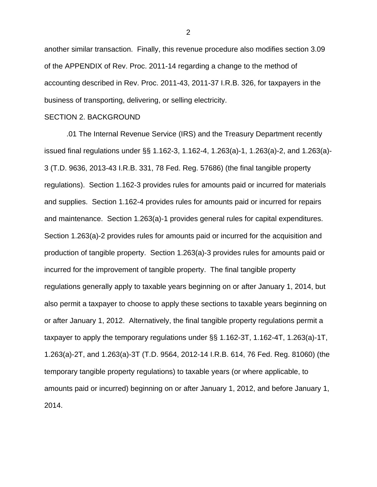another similar transaction. Finally, this revenue procedure also modifies section 3.09 of the APPENDIX of Rev. Proc. 2011-14 regarding a change to the method of accounting described in Rev. Proc. 2011-43, 2011-37 I.R.B. 326, for taxpayers in the business of transporting, delivering, or selling electricity.

#### SECTION 2. BACKGROUND

.01 The Internal Revenue Service (IRS) and the Treasury Department recently issued final regulations under §§ 1.162-3, 1.162-4, 1.263(a)-1, 1.263(a)-2, and 1.263(a)- 3 (T.D. 9636, 2013-43 I.R.B. 331, 78 Fed. Reg. 57686) (the final tangible property regulations). Section 1.162-3 provides rules for amounts paid or incurred for materials and supplies. Section 1.162-4 provides rules for amounts paid or incurred for repairs and maintenance. Section 1.263(a)-1 provides general rules for capital expenditures. Section 1.263(a)-2 provides rules for amounts paid or incurred for the acquisition and production of tangible property. Section 1.263(a)-3 provides rules for amounts paid or incurred for the improvement of tangible property. The final tangible property regulations generally apply to taxable years beginning on or after January 1, 2014, but also permit a taxpayer to choose to apply these sections to taxable years beginning on or after January 1, 2012. Alternatively, the final tangible property regulations permit a taxpayer to apply the temporary regulations under §§ 1.162-3T, 1.162-4T, 1.263(a)-1T, 1.263(a)-2T, and 1.263(a)-3T (T.D. 9564, 2012-14 I.R.B. 614, 76 Fed. Reg. 81060) (the temporary tangible property regulations) to taxable years (or where applicable, to amounts paid or incurred) beginning on or after January 1, 2012, and before January 1, 2014.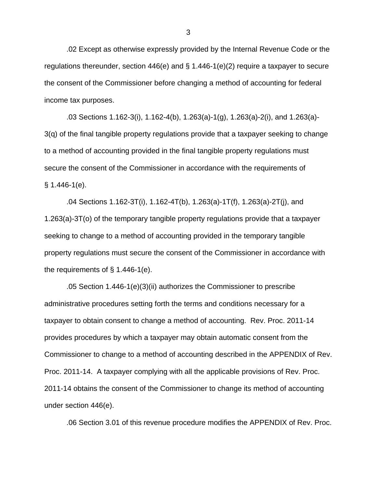.02 Except as otherwise expressly provided by the Internal Revenue Code or the regulations thereunder, section 446(e) and § 1.446-1(e)(2) require a taxpayer to secure the consent of the Commissioner before changing a method of accounting for federal income tax purposes.

.03 Sections 1.162-3(i), 1.162-4(b), 1.263(a)-1(g), 1.263(a)-2(i), and 1.263(a)- 3(q) of the final tangible property regulations provide that a taxpayer seeking to change to a method of accounting provided in the final tangible property regulations must secure the consent of the Commissioner in accordance with the requirements of  $§ 1.446 - 1(e).$ 

.04 Sections 1.162-3T(i), 1.162-4T(b), 1.263(a)-1T(f), 1.263(a)-2T(j), and 1.263(a)-3T(o) of the temporary tangible property regulations provide that a taxpayer seeking to change to a method of accounting provided in the temporary tangible property regulations must secure the consent of the Commissioner in accordance with the requirements of  $\S$  1.446-1(e).

.05 Section 1.446-1(e)(3)(ii) authorizes the Commissioner to prescribe administrative procedures setting forth the terms and conditions necessary for a taxpayer to obtain consent to change a method of accounting. Rev. Proc. 2011-14 provides procedures by which a taxpayer may obtain automatic consent from the Commissioner to change to a method of accounting described in the APPENDIX of Rev. Proc. 2011-14. A taxpayer complying with all the applicable provisions of Rev. Proc. 2011-14 obtains the consent of the Commissioner to change its method of accounting under section 446(e).

.06 Section 3.01 of this revenue procedure modifies the APPENDIX of Rev. Proc.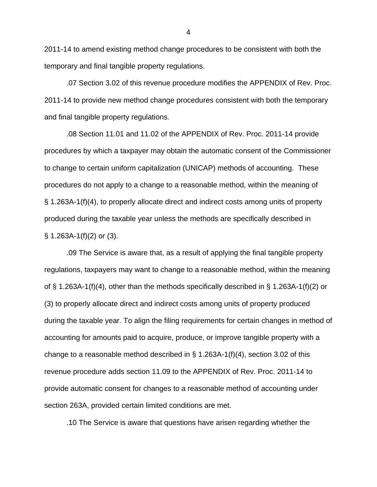2011-14 to amend existing method change procedures to be consistent with both the temporary and final tangible property regulations.

.07 Section 3.02 of this revenue procedure modifies the APPENDIX of Rev. Proc. 2011-14 to provide new method change procedures consistent with both the temporary and final tangible property regulations.

.08 Section 11.01 and 11.02 of the APPENDIX of Rev. Proc. 2011-14 provide procedures by which a taxpayer may obtain the automatic consent of the Commissioner to change to certain uniform capitalization (UNICAP) methods of accounting. These procedures do not apply to a change to a reasonable method, within the meaning of § 1.263A-1(f)(4), to properly allocate direct and indirect costs among units of property produced during the taxable year unless the methods are specifically described in  $\S$  1.263A-1(f)(2) or (3).

.09 The Service is aware that, as a result of applying the final tangible property regulations, taxpayers may want to change to a reasonable method, within the meaning of § 1.263A-1(f)(4), other than the methods specifically described in § 1.263A-1(f)(2) or (3) to properly allocate direct and indirect costs among units of property produced during the taxable year. To align the filing requirements for certain changes in method of accounting for amounts paid to acquire, produce, or improve tangible property with a change to a reasonable method described in § 1.263A-1(f)(4), section 3.02 of this revenue procedure adds section 11.09 to the APPENDIX of Rev. Proc. 2011-14 to provide automatic consent for changes to a reasonable method of accounting under section 263A, provided certain limited conditions are met.

.10 The Service is aware that questions have arisen regarding whether the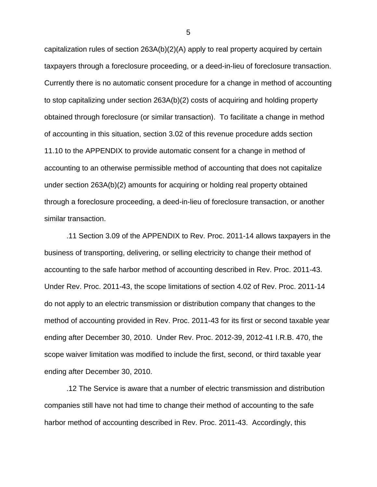capitalization rules of section 263A(b)(2)(A) apply to real property acquired by certain taxpayers through a foreclosure proceeding, or a deed-in-lieu of foreclosure transaction. Currently there is no automatic consent procedure for a change in method of accounting to stop capitalizing under section 263A(b)(2) costs of acquiring and holding property obtained through foreclosure (or similar transaction). To facilitate a change in method of accounting in this situation, section 3.02 of this revenue procedure adds section 11.10 to the APPENDIX to provide automatic consent for a change in method of accounting to an otherwise permissible method of accounting that does not capitalize under section 263A(b)(2) amounts for acquiring or holding real property obtained through a foreclosure proceeding, a deed-in-lieu of foreclosure transaction, or another similar transaction.

.11 Section 3.09 of the APPENDIX to Rev. Proc. 2011-14 allows taxpayers in the business of transporting, delivering, or selling electricity to change their method of accounting to the safe harbor method of accounting described in Rev. Proc. 2011-43. Under Rev. Proc. 2011-43, the scope limitations of section 4.02 of Rev. Proc. 2011-14 do not apply to an electric transmission or distribution company that changes to the method of accounting provided in Rev. Proc. 2011-43 for its first or second taxable year ending after December 30, 2010. Under Rev. Proc. 2012-39, 2012-41 I.R.B. 470, the scope waiver limitation was modified to include the first, second, or third taxable year ending after December 30, 2010.

.12 The Service is aware that a number of electric transmission and distribution companies still have not had time to change their method of accounting to the safe harbor method of accounting described in Rev. Proc. 2011-43. Accordingly, this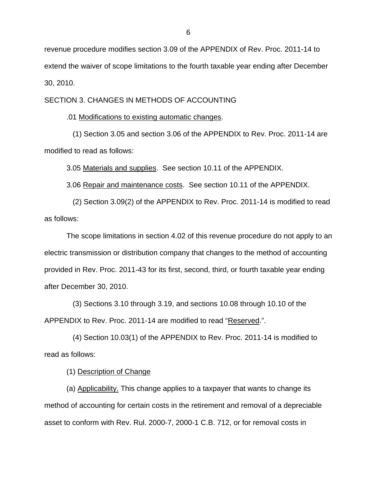revenue procedure modifies section 3.09 of the APPENDIX of Rev. Proc. 2011-14 to extend the waiver of scope limitations to the fourth taxable year ending after December 30, 2010.

SECTION 3. CHANGES IN METHODS OF ACCOUNTING

.01 Modifications to existing automatic changes.

 (1) Section 3.05 and section 3.06 of the APPENDIX to Rev. Proc. 2011-14 are modified to read as follows:

3.05 Materials and supplies. See section 10.11 of the APPENDIX.

3.06 Repair and maintenance costs. See section 10.11 of the APPENDIX.

 (2) Section 3.09(2) of the APPENDIX to Rev. Proc. 2011-14 is modified to read as follows:

The scope limitations in section 4.02 of this revenue procedure do not apply to an electric transmission or distribution company that changes to the method of accounting provided in Rev. Proc. 2011-43 for its first, second, third, or fourth taxable year ending after December 30, 2010.

 (3) Sections 3.10 through 3.19, and sections 10.08 through 10.10 of the APPENDIX to Rev. Proc. 2011-14 are modified to read "Reserved.".

 (4) Section 10.03(1) of the APPENDIX to Rev. Proc. 2011-14 is modified to read as follows:

(1) Description of Change

(a) Applicability. This change applies to a taxpayer that wants to change its method of accounting for certain costs in the retirement and removal of a depreciable asset to conform with Rev. Rul. 2000-7, 2000-1 C.B. 712, or for removal costs in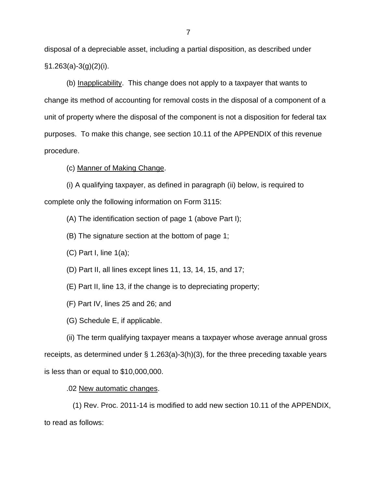disposal of a depreciable asset, including a partial disposition, as described under  $§1.263(a)-3(g)(2)(i).$ 

(b) Inapplicability. This change does not apply to a taxpayer that wants to change its method of accounting for removal costs in the disposal of a component of a unit of property where the disposal of the component is not a disposition for federal tax purposes. To make this change, see section 10.11 of the APPENDIX of this revenue procedure.

(c) Manner of Making Change.

(i) A qualifying taxpayer, as defined in paragraph (ii) below, is required to complete only the following information on Form 3115:

(A) The identification section of page 1 (above Part I);

(B) The signature section at the bottom of page 1;

 $(C)$  Part I, line  $1(a)$ ;

(D) Part II, all lines except lines 11, 13, 14, 15, and 17;

(E) Part II, line 13, if the change is to depreciating property;

(F) Part IV, lines 25 and 26; and

(G) Schedule E, if applicable.

(ii) The term qualifying taxpayer means a taxpayer whose average annual gross receipts, as determined under § 1.263(a)-3(h)(3), for the three preceding taxable years is less than or equal to \$10,000,000.

.02 New automatic changes.

 (1) Rev. Proc. 2011-14 is modified to add new section 10.11 of the APPENDIX, to read as follows: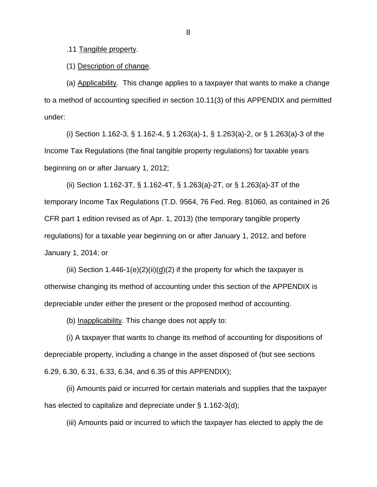.11 Tangible property.

(1) Description of change.

(a) Applicability. This change applies to a taxpayer that wants to make a change to a method of accounting specified in section 10.11(3) of this APPENDIX and permitted under:

(i) Section 1.162-3, § 1.162-4, § 1.263(a)-1, § 1.263(a)-2, or § 1.263(a)-3 of the Income Tax Regulations (the final tangible property regulations) for taxable years beginning on or after January 1, 2012;

(ii) Section 1.162-3T, § 1.162-4T, § 1.263(a)-2T, or § 1.263(a)-3T of the temporary Income Tax Regulations (T.D. 9564, 76 Fed. Reg. 81060, as contained in 26 CFR part 1 edition revised as of Apr. 1, 2013) (the temporary tangible property regulations) for a taxable year beginning on or after January 1, 2012, and before January 1, 2014; or

(iii) Section  $1.446-1(e)(2)(ii)(d)(2)$  if the property for which the taxpayer is otherwise changing its method of accounting under this section of the APPENDIX is depreciable under either the present or the proposed method of accounting.

(b) Inapplicability. This change does not apply to:

(i) A taxpayer that wants to change its method of accounting for dispositions of depreciable property, including a change in the asset disposed of (but see sections 6.29, 6.30, 6.31, 6.33, 6.34, and 6.35 of this APPENDIX);

(ii) Amounts paid or incurred for certain materials and supplies that the taxpayer has elected to capitalize and depreciate under § 1.162-3(d);

(iii) Amounts paid or incurred to which the taxpayer has elected to apply the de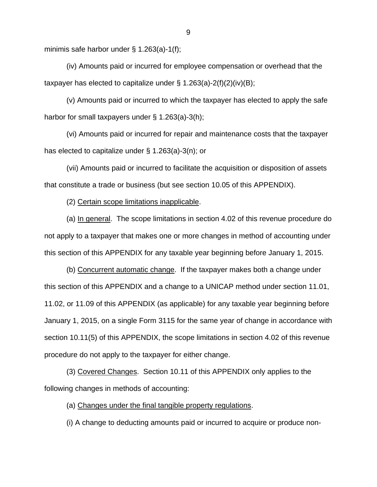minimis safe harbor under § 1.263(a)-1(f);

 (iv) Amounts paid or incurred for employee compensation or overhead that the taxpayer has elected to capitalize under  $\S$  1.263(a)-2(f)(2)(iv)(B);

 (v) Amounts paid or incurred to which the taxpayer has elected to apply the safe harbor for small taxpayers under § 1.263(a)-3(h);

(vi) Amounts paid or incurred for repair and maintenance costs that the taxpayer has elected to capitalize under § 1.263(a)-3(n); or

(vii) Amounts paid or incurred to facilitate the acquisition or disposition of assets that constitute a trade or business (but see section 10.05 of this APPENDIX).

(2) Certain scope limitations inapplicable.

(a) In general. The scope limitations in section 4.02 of this revenue procedure do not apply to a taxpayer that makes one or more changes in method of accounting under this section of this APPENDIX for any taxable year beginning before January 1, 2015.

(b) Concurrent automatic change. If the taxpayer makes both a change under this section of this APPENDIX and a change to a UNICAP method under section 11.01, 11.02, or 11.09 of this APPENDIX (as applicable) for any taxable year beginning before January 1, 2015, on a single Form 3115 for the same year of change in accordance with section 10.11(5) of this APPENDIX, the scope limitations in section 4.02 of this revenue procedure do not apply to the taxpayer for either change.

(3) Covered Changes. Section 10.11 of this APPENDIX only applies to the following changes in methods of accounting:

(a) Changes under the final tangible property regulations.

(i) A change to deducting amounts paid or incurred to acquire or produce non-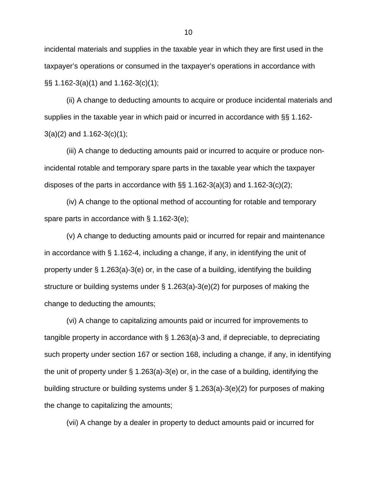incidental materials and supplies in the taxable year in which they are first used in the taxpayer's operations or consumed in the taxpayer's operations in accordance with §§ 1.162-3(a)(1) and 1.162-3(c)(1);

(ii) A change to deducting amounts to acquire or produce incidental materials and supplies in the taxable year in which paid or incurred in accordance with §§ 1.162-  $3(a)(2)$  and  $1.162-3(c)(1)$ ;

(iii) A change to deducting amounts paid or incurred to acquire or produce nonincidental rotable and temporary spare parts in the taxable year which the taxpayer disposes of the parts in accordance with  $\S$ § 1.162-3(a)(3) and 1.162-3(c)(2);

(iv) A change to the optional method of accounting for rotable and temporary spare parts in accordance with § 1.162-3(e);

(v) A change to deducting amounts paid or incurred for repair and maintenance in accordance with § 1.162-4, including a change, if any, in identifying the unit of property under § 1.263(a)-3(e) or, in the case of a building, identifying the building structure or building systems under § 1.263(a)-3(e)(2) for purposes of making the change to deducting the amounts;

(vi) A change to capitalizing amounts paid or incurred for improvements to tangible property in accordance with § 1.263(a)-3 and, if depreciable, to depreciating such property under section 167 or section 168, including a change, if any, in identifying the unit of property under § 1.263(a)-3(e) or, in the case of a building, identifying the building structure or building systems under § 1.263(a)-3(e)(2) for purposes of making the change to capitalizing the amounts;

(vii) A change by a dealer in property to deduct amounts paid or incurred for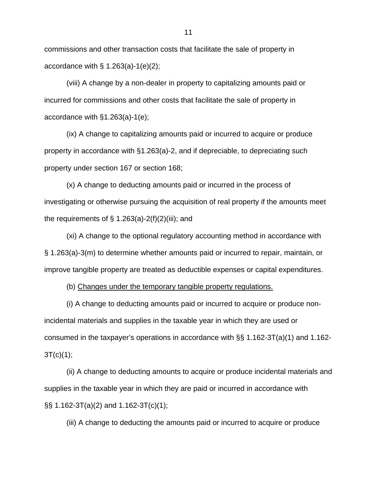commissions and other transaction costs that facilitate the sale of property in accordance with  $\S$  1.263(a)-1(e)(2);

(viii) A change by a non-dealer in property to capitalizing amounts paid or incurred for commissions and other costs that facilitate the sale of property in accordance with §1.263(a)-1(e);

(ix) A change to capitalizing amounts paid or incurred to acquire or produce property in accordance with §1.263(a)-2, and if depreciable, to depreciating such property under section 167 or section 168;

(x) A change to deducting amounts paid or incurred in the process of investigating or otherwise pursuing the acquisition of real property if the amounts meet the requirements of  $\S$  1.263(a)-2(f)(2)(iii); and

(xi) A change to the optional regulatory accounting method in accordance with § 1.263(a)-3(m) to determine whether amounts paid or incurred to repair, maintain, or improve tangible property are treated as deductible expenses or capital expenditures.

(b) Changes under the temporary tangible property regulations.

(i) A change to deducting amounts paid or incurred to acquire or produce nonincidental materials and supplies in the taxable year in which they are used or consumed in the taxpayer's operations in accordance with §§ 1.162-3T(a)(1) and 1.162-  $3T(c)(1);$ 

(ii) A change to deducting amounts to acquire or produce incidental materials and supplies in the taxable year in which they are paid or incurred in accordance with §§ 1.162-3T(a)(2) and 1.162-3T(c)(1);

(iii) A change to deducting the amounts paid or incurred to acquire or produce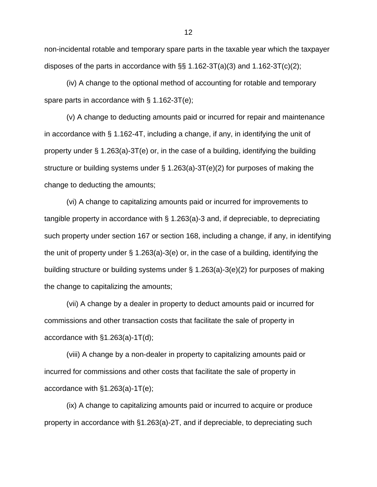non-incidental rotable and temporary spare parts in the taxable year which the taxpayer disposes of the parts in accordance with  $\S$ § 1.162-3T(a)(3) and 1.162-3T(c)(2);

(iv) A change to the optional method of accounting for rotable and temporary spare parts in accordance with § 1.162-3T(e);

(v) A change to deducting amounts paid or incurred for repair and maintenance in accordance with § 1.162-4T, including a change, if any, in identifying the unit of property under  $\S$  1.263(a)-3T(e) or, in the case of a building, identifying the building structure or building systems under § 1.263(a)-3T(e)(2) for purposes of making the change to deducting the amounts;

(vi) A change to capitalizing amounts paid or incurred for improvements to tangible property in accordance with § 1.263(a)-3 and, if depreciable, to depreciating such property under section 167 or section 168, including a change, if any, in identifying the unit of property under § 1.263(a)-3(e) or, in the case of a building, identifying the building structure or building systems under § 1.263(a)-3(e)(2) for purposes of making the change to capitalizing the amounts;

(vii) A change by a dealer in property to deduct amounts paid or incurred for commissions and other transaction costs that facilitate the sale of property in accordance with §1.263(a)-1T(d);

(viii) A change by a non-dealer in property to capitalizing amounts paid or incurred for commissions and other costs that facilitate the sale of property in accordance with §1.263(a)-1T(e);

(ix) A change to capitalizing amounts paid or incurred to acquire or produce property in accordance with §1.263(a)-2T, and if depreciable, to depreciating such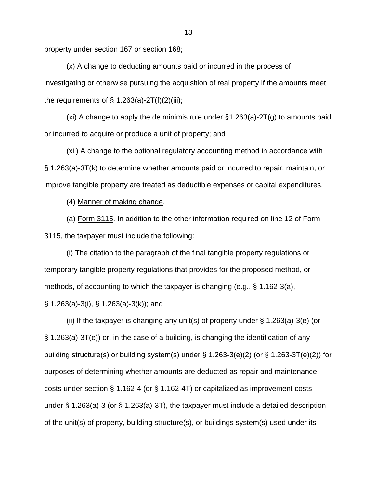property under section 167 or section 168;

(x) A change to deducting amounts paid or incurred in the process of investigating or otherwise pursuing the acquisition of real property if the amounts meet the requirements of  $\S$  1.263(a)-2T(f)(2)(iii);

(xi) A change to apply the de minimis rule under  $\S1.263(a)$ -2T(g) to amounts paid or incurred to acquire or produce a unit of property; and

(xii) A change to the optional regulatory accounting method in accordance with § 1.263(a)-3T(k) to determine whether amounts paid or incurred to repair, maintain, or improve tangible property are treated as deductible expenses or capital expenditures.

(4) Manner of making change.

(a) Form 3115. In addition to the other information required on line 12 of Form 3115, the taxpayer must include the following:

(i) The citation to the paragraph of the final tangible property regulations or temporary tangible property regulations that provides for the proposed method, or methods, of accounting to which the taxpayer is changing (e.g., § 1.162-3(a),

§ 1.263(a)-3(i), § 1.263(a)-3(k)); and

(ii) If the taxpayer is changing any unit(s) of property under  $\S$  1.263(a)-3(e) (or § 1.263(a)-3T(e)) or, in the case of a building, is changing the identification of any building structure(s) or building system(s) under  $\S$  1.263-3(e)(2) (or  $\S$  1.263-3T(e)(2)) for purposes of determining whether amounts are deducted as repair and maintenance costs under section § 1.162-4 (or § 1.162-4T) or capitalized as improvement costs under § 1.263(a)-3 (or § 1.263(a)-3T), the taxpayer must include a detailed description of the unit(s) of property, building structure(s), or buildings system(s) used under its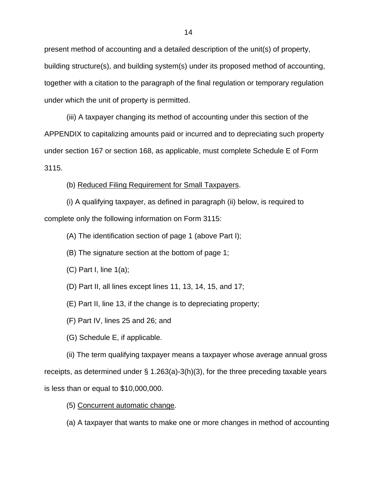present method of accounting and a detailed description of the unit(s) of property, building structure(s), and building system(s) under its proposed method of accounting, together with a citation to the paragraph of the final regulation or temporary regulation under which the unit of property is permitted.

(iii) A taxpayer changing its method of accounting under this section of the APPENDIX to capitalizing amounts paid or incurred and to depreciating such property under section 167 or section 168, as applicable, must complete Schedule E of Form 3115.

(b) Reduced Filing Requirement for Small Taxpayers.

(i) A qualifying taxpayer, as defined in paragraph (ii) below, is required to complete only the following information on Form 3115:

(A) The identification section of page 1 (above Part I);

(B) The signature section at the bottom of page 1;

 $(C)$  Part I, line  $1(a)$ ;

(D) Part II, all lines except lines 11, 13, 14, 15, and 17;

(E) Part II, line 13, if the change is to depreciating property;

(F) Part IV, lines 25 and 26; and

(G) Schedule E, if applicable.

(ii) The term qualifying taxpayer means a taxpayer whose average annual gross receipts, as determined under § 1.263(a)-3(h)(3), for the three preceding taxable years is less than or equal to \$10,000,000.

(5) Concurrent automatic change.

(a) A taxpayer that wants to make one or more changes in method of accounting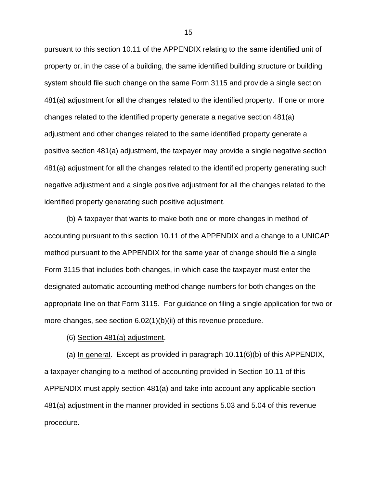pursuant to this section 10.11 of the APPENDIX relating to the same identified unit of property or, in the case of a building, the same identified building structure or building system should file such change on the same Form 3115 and provide a single section 481(a) adjustment for all the changes related to the identified property. If one or more changes related to the identified property generate a negative section 481(a) adjustment and other changes related to the same identified property generate a positive section 481(a) adjustment, the taxpayer may provide a single negative section 481(a) adjustment for all the changes related to the identified property generating such negative adjustment and a single positive adjustment for all the changes related to the identified property generating such positive adjustment.

(b) A taxpayer that wants to make both one or more changes in method of accounting pursuant to this section 10.11 of the APPENDIX and a change to a UNICAP method pursuant to the APPENDIX for the same year of change should file a single Form 3115 that includes both changes, in which case the taxpayer must enter the designated automatic accounting method change numbers for both changes on the appropriate line on that Form 3115. For guidance on filing a single application for two or more changes, see section 6.02(1)(b)(ii) of this revenue procedure.

(6) Section 481(a) adjustment.

(a) In general. Except as provided in paragraph 10.11(6)(b) of this APPENDIX, a taxpayer changing to a method of accounting provided in Section 10.11 of this APPENDIX must apply section 481(a) and take into account any applicable section 481(a) adjustment in the manner provided in sections 5.03 and 5.04 of this revenue procedure.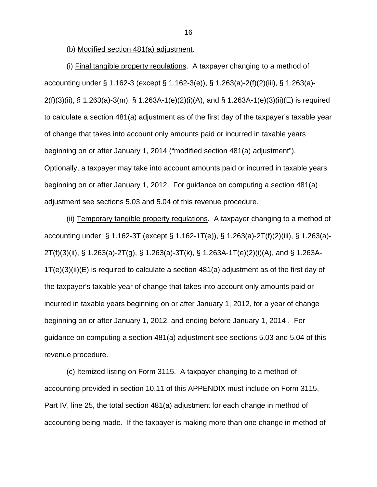(b) Modified section 481(a) adjustment.

(i) Final tangible property regulations. A taxpayer changing to a method of accounting under § 1.162-3 (except § 1.162-3(e)), § 1.263(a)-2(f)(2)(iii), § 1.263(a)- 2(f)(3)(ii), § 1.263(a)-3(m), § 1.263A-1(e)(2)(i)(A), and § 1.263A-1(e)(3)(ii)(E) is required to calculate a section 481(a) adjustment as of the first day of the taxpayer's taxable year of change that takes into account only amounts paid or incurred in taxable years beginning on or after January 1, 2014 ("modified section 481(a) adjustment"). Optionally, a taxpayer may take into account amounts paid or incurred in taxable years beginning on or after January 1, 2012. For guidance on computing a section 481(a) adjustment see sections 5.03 and 5.04 of this revenue procedure.

(ii) Temporary tangible property regulations. A taxpayer changing to a method of accounting under § 1.162-3T (except § 1.162-1T(e)), § 1.263(a)-2T(f)(2)(iii), § 1.263(a)- 2T(f)(3)(ii), § 1.263(a)-2T(g), § 1.263(a)-3T(k), § 1.263A-1T(e)(2)(i)(A), and § 1.263A-1T(e)(3)(ii)(E) is required to calculate a section 481(a) adjustment as of the first day of the taxpayer's taxable year of change that takes into account only amounts paid or incurred in taxable years beginning on or after January 1, 2012, for a year of change beginning on or after January 1, 2012, and ending before January 1, 2014 . For guidance on computing a section 481(a) adjustment see sections 5.03 and 5.04 of this revenue procedure.

(c) Itemized listing on Form 3115. A taxpayer changing to a method of accounting provided in section 10.11 of this APPENDIX must include on Form 3115, Part IV, line 25, the total section 481(a) adjustment for each change in method of accounting being made. If the taxpayer is making more than one change in method of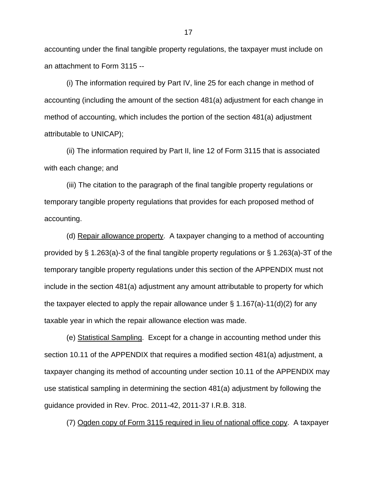accounting under the final tangible property regulations, the taxpayer must include on an attachment to Form 3115 --

(i) The information required by Part IV, line 25 for each change in method of accounting (including the amount of the section 481(a) adjustment for each change in method of accounting, which includes the portion of the section 481(a) adjustment attributable to UNICAP);

(ii) The information required by Part II, line 12 of Form 3115 that is associated with each change; and

(iii) The citation to the paragraph of the final tangible property regulations or temporary tangible property regulations that provides for each proposed method of accounting.

(d) Repair allowance property. A taxpayer changing to a method of accounting provided by § 1.263(a)-3 of the final tangible property regulations or § 1.263(a)-3T of the temporary tangible property regulations under this section of the APPENDIX must not include in the section 481(a) adjustment any amount attributable to property for which the taxpayer elected to apply the repair allowance under  $\S 1.167(a)$ -11(d)(2) for any taxable year in which the repair allowance election was made.

(e) Statistical Sampling. Except for a change in accounting method under this section 10.11 of the APPENDIX that requires a modified section 481(a) adjustment, a taxpayer changing its method of accounting under section 10.11 of the APPENDIX may use statistical sampling in determining the section 481(a) adjustment by following the guidance provided in Rev. Proc. 2011-42, 2011-37 I.R.B. 318.

(7) Ogden copy of Form 3115 required in lieu of national office copy. A taxpayer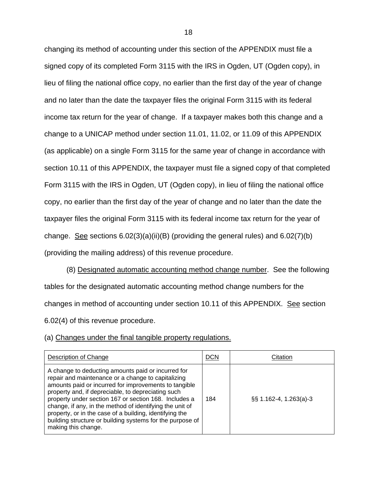changing its method of accounting under this section of the APPENDIX must file a signed copy of its completed Form 3115 with the IRS in Ogden, UT (Ogden copy), in lieu of filing the national office copy, no earlier than the first day of the year of change and no later than the date the taxpayer files the original Form 3115 with its federal income tax return for the year of change. If a taxpayer makes both this change and a change to a UNICAP method under section 11.01, 11.02, or 11.09 of this APPENDIX (as applicable) on a single Form 3115 for the same year of change in accordance with section 10.11 of this APPENDIX, the taxpayer must file a signed copy of that completed Form 3115 with the IRS in Ogden, UT (Ogden copy), in lieu of filing the national office copy, no earlier than the first day of the year of change and no later than the date the taxpayer files the original Form 3115 with its federal income tax return for the year of change. See sections  $6.02(3)(a)(ii)(B)$  (providing the general rules) and  $6.02(7)(b)$ (providing the mailing address) of this revenue procedure.

(8) Designated automatic accounting method change number. See the following tables for the designated automatic accounting method change numbers for the changes in method of accounting under section 10.11 of this APPENDIX. See section 6.02(4) of this revenue procedure.

## (a) Changes under the final tangible property regulations.

| Description of Change                                                                                                                                                                                                                                                                                                                                                                                                                                                                       | <b>DCN</b> | Citation                 |
|---------------------------------------------------------------------------------------------------------------------------------------------------------------------------------------------------------------------------------------------------------------------------------------------------------------------------------------------------------------------------------------------------------------------------------------------------------------------------------------------|------------|--------------------------|
| A change to deducting amounts paid or incurred for<br>repair and maintenance or a change to capitalizing<br>amounts paid or incurred for improvements to tangible<br>property and, if depreciable, to depreciating such<br>property under section 167 or section 168. Includes a<br>change, if any, in the method of identifying the unit of<br>property, or in the case of a building, identifying the<br>building structure or building systems for the purpose of<br>making this change. | 184        | $\S$ 1.162-4, 1.263(a)-3 |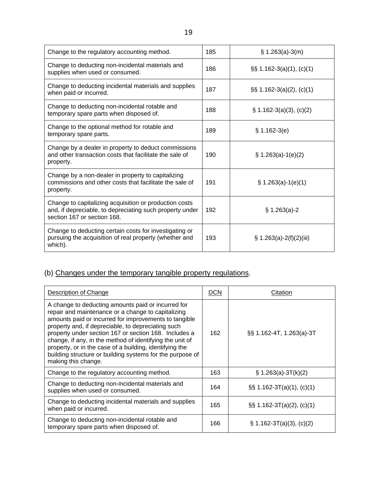| Change to the regulatory accounting method.                                                                                                       | 185 | $$ 1.263(a)-3(m)$            |
|---------------------------------------------------------------------------------------------------------------------------------------------------|-----|------------------------------|
| Change to deducting non-incidental materials and<br>supplies when used or consumed.                                                               | 186 | $\S\S$ 1.162-3(a)(1), (c)(1) |
| Change to deducting incidental materials and supplies<br>when paid or incurred.                                                                   | 187 | $\S\S$ 1.162-3(a)(2), (c)(1) |
| Change to deducting non-incidental rotable and<br>temporary spare parts when disposed of.                                                         | 188 | $\S$ 1.162-3(a)(3), (c)(2)   |
| Change to the optional method for rotable and<br>temporary spare parts.                                                                           | 189 | $$1.162-3(e)$                |
| Change by a dealer in property to deduct commissions<br>and other transaction costs that facilitate the sale of<br>property.                      | 190 | $\S$ 1.263(a)-1(e)(2)        |
| Change by a non-dealer in property to capitalizing<br>commissions and other costs that facilitate the sale of<br>property.                        | 191 | $\S$ 1.263(a)-1(e)(1)        |
| Change to capitalizing acquisition or production costs<br>and, if depreciable, to depreciating such property under<br>section 167 or section 168. | 192 | $§ 1.263(a)-2$               |
| Change to deducting certain costs for investigating or<br>pursuing the acquisition of real property (whether and<br>which).                       | 193 | $\S$ 1.263(a)-2(f)(2)(iii)   |

# (b) Changes under the temporary tangible property regulations.

| <b>Description of Change</b>                                                                                                                                                                                                                                                                                                                                                                                                                                                                | <b>DCN</b> | Citation                       |
|---------------------------------------------------------------------------------------------------------------------------------------------------------------------------------------------------------------------------------------------------------------------------------------------------------------------------------------------------------------------------------------------------------------------------------------------------------------------------------------------|------------|--------------------------------|
| A change to deducting amounts paid or incurred for<br>repair and maintenance or a change to capitalizing<br>amounts paid or incurred for improvements to tangible<br>property and, if depreciable, to depreciating such<br>property under section 167 or section 168. Includes a<br>change, if any, in the method of identifying the unit of<br>property, or in the case of a building, identifying the<br>building structure or building systems for the purpose of<br>making this change. | 162        | §§ 1.162-4T, 1.263(a)-3T       |
| Change to the regulatory accounting method.                                                                                                                                                                                                                                                                                                                                                                                                                                                 | 163        | $\S$ 1.263(a)-3T(k)(2)         |
| Change to deducting non-incidental materials and<br>supplies when used or consumed.                                                                                                                                                                                                                                                                                                                                                                                                         | 164        | $\S$ \$ 1.162-3T(a)(1), (c)(1) |
| Change to deducting incidental materials and supplies<br>when paid or incurred.                                                                                                                                                                                                                                                                                                                                                                                                             | 165        | $\S\S$ 1.162-3T(a)(2), (c)(1)  |
| Change to deducting non-incidental rotable and<br>temporary spare parts when disposed of.                                                                                                                                                                                                                                                                                                                                                                                                   | 166        | $\S$ 1.162-3T(a)(3), (c)(2)    |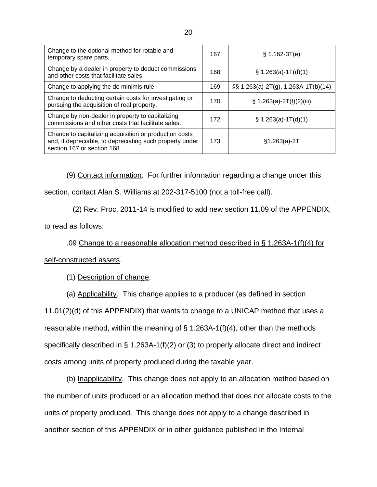| Change to the optional method for rotable and<br>temporary spare parts.                                                                           | 167 | $$1.162-3T(e)$                          |
|---------------------------------------------------------------------------------------------------------------------------------------------------|-----|-----------------------------------------|
| Change by a dealer in property to deduct commissions<br>and other costs that facilitate sales.                                                    | 168 | $\S$ 1.263(a)-1T(d)(1)                  |
| Change to applying the de minimis rule                                                                                                            | 169 | $\S$ § 1.263(a)-2T(g), 1.263A-1T(b)(14) |
| Change to deducting certain costs for investigating or<br>pursuing the acquisition of real property.                                              | 170 | $\S$ 1.263(a)-2T(f)(2)(iii)             |
| Change by non-dealer in property to capitalizing<br>commissions and other costs that facilitate sales.                                            | 172 | $\S$ 1.263(a)-1T(d)(1)                  |
| Change to capitalizing acquisition or production costs<br>and, if depreciable, to depreciating such property under<br>section 167 or section 168. | 173 | $§1.263(a)-2T$                          |

 (9) Contact information. For further information regarding a change under this section, contact Alan S. Williams at 202-317-5100 (not a toll-free call).

(2) Rev. Proc. 2011-14 is modified to add new section 11.09 of the APPENDIX,

to read as follows:

.09 Change to a reasonable allocation method described in § 1.263A-1(f)(4) for self-constructed assets.

(1) Description of change.

(a) Applicability. This change applies to a producer (as defined in section

11.01(2)(d) of this APPENDIX) that wants to change to a UNICAP method that uses a reasonable method, within the meaning of  $\S$  1.263A-1(f)(4), other than the methods specifically described in § 1.263A-1(f)(2) or (3) to properly allocate direct and indirect costs among units of property produced during the taxable year.

(b) Inapplicability. This change does not apply to an allocation method based on the number of units produced or an allocation method that does not allocate costs to the units of property produced. This change does not apply to a change described in another section of this APPENDIX or in other guidance published in the Internal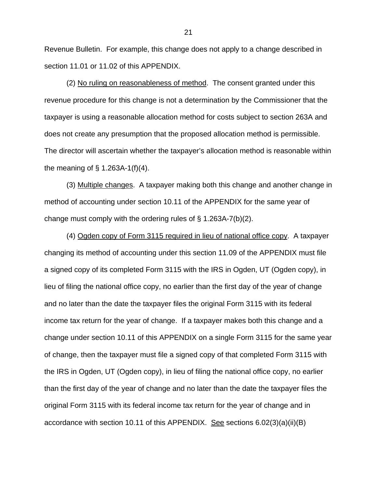Revenue Bulletin. For example, this change does not apply to a change described in section 11.01 or 11.02 of this APPENDIX.

(2) No ruling on reasonableness of method. The consent granted under this revenue procedure for this change is not a determination by the Commissioner that the taxpayer is using a reasonable allocation method for costs subject to section 263A and does not create any presumption that the proposed allocation method is permissible. The director will ascertain whether the taxpayer's allocation method is reasonable within the meaning of  $\S$  1.263A-1(f)(4).

(3) Multiple changes. A taxpayer making both this change and another change in method of accounting under section 10.11 of the APPENDIX for the same year of change must comply with the ordering rules of § 1.263A-7(b)(2).

(4) Ogden copy of Form 3115 required in lieu of national office copy. A taxpayer changing its method of accounting under this section 11.09 of the APPENDIX must file a signed copy of its completed Form 3115 with the IRS in Ogden, UT (Ogden copy), in lieu of filing the national office copy, no earlier than the first day of the year of change and no later than the date the taxpayer files the original Form 3115 with its federal income tax return for the year of change. If a taxpayer makes both this change and a change under section 10.11 of this APPENDIX on a single Form 3115 for the same year of change, then the taxpayer must file a signed copy of that completed Form 3115 with the IRS in Ogden, UT (Ogden copy), in lieu of filing the national office copy, no earlier than the first day of the year of change and no later than the date the taxpayer files the original Form 3115 with its federal income tax return for the year of change and in accordance with section 10.11 of this APPENDIX. See sections 6.02(3)(a)(ii)(B)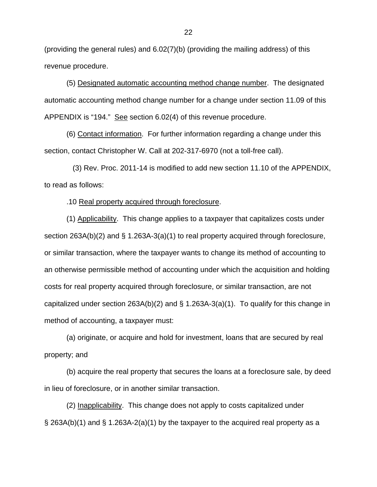(providing the general rules) and 6.02(7)(b) (providing the mailing address) of this revenue procedure.

(5) Designated automatic accounting method change number. The designated automatic accounting method change number for a change under section 11.09 of this APPENDIX is "194." See section 6.02(4) of this revenue procedure.

(6) Contact information. For further information regarding a change under this section, contact Christopher W. Call at 202-317-6970 (not a toll-free call).

 (3) Rev. Proc. 2011-14 is modified to add new section 11.10 of the APPENDIX, to read as follows:

.10 Real property acquired through foreclosure.

 (1) Applicability. This change applies to a taxpayer that capitalizes costs under section 263A(b)(2) and § 1.263A-3(a)(1) to real property acquired through foreclosure, or similar transaction, where the taxpayer wants to change its method of accounting to an otherwise permissible method of accounting under which the acquisition and holding costs for real property acquired through foreclosure, or similar transaction, are not capitalized under section 263A(b)(2) and § 1.263A-3(a)(1). To qualify for this change in method of accounting, a taxpayer must:

 (a) originate, or acquire and hold for investment, loans that are secured by real property; and

 (b) acquire the real property that secures the loans at a foreclosure sale, by deed in lieu of foreclosure, or in another similar transaction.

 (2) Inapplicability. This change does not apply to costs capitalized under § 263A(b)(1) and § 1.263A-2(a)(1) by the taxpayer to the acquired real property as a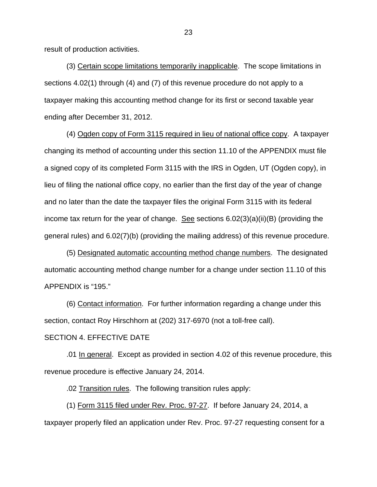result of production activities.

 (3) Certain scope limitations temporarily inapplicable. The scope limitations in sections 4.02(1) through (4) and (7) of this revenue procedure do not apply to a taxpayer making this accounting method change for its first or second taxable year ending after December 31, 2012.

 (4) Ogden copy of Form 3115 required in lieu of national office copy. A taxpayer changing its method of accounting under this section 11.10 of the APPENDIX must file a signed copy of its completed Form 3115 with the IRS in Ogden, UT (Ogden copy), in lieu of filing the national office copy, no earlier than the first day of the year of change and no later than the date the taxpayer files the original Form 3115 with its federal income tax return for the year of change. See sections  $6.02(3)(a)(ii)(B)$  (providing the general rules) and 6.02(7)(b) (providing the mailing address) of this revenue procedure.

 (5) Designated automatic accounting method change numbers. The designated automatic accounting method change number for a change under section 11.10 of this APPENDIX is "195."

(6) Contact information. For further information regarding a change under this section, contact Roy Hirschhorn at (202) 317-6970 (not a toll-free call).

## SECTION 4. EFFECTIVE DATE

.01 In general. Except as provided in section 4.02 of this revenue procedure, this revenue procedure is effective January 24, 2014.

.02 Transition rules. The following transition rules apply:

(1) Form 3115 filed under Rev. Proc. 97-27. If before January 24, 2014, a taxpayer properly filed an application under Rev. Proc. 97-27 requesting consent for a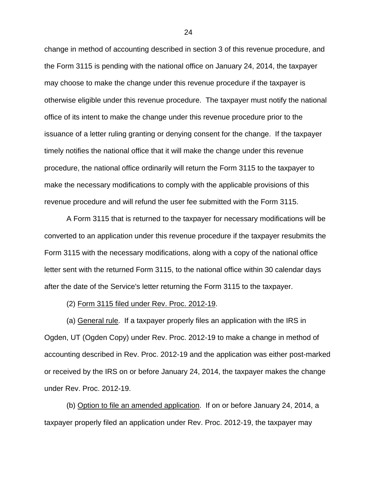change in method of accounting described in section 3 of this revenue procedure, and the Form 3115 is pending with the national office on January 24, 2014, the taxpayer may choose to make the change under this revenue procedure if the taxpayer is otherwise eligible under this revenue procedure. The taxpayer must notify the national office of its intent to make the change under this revenue procedure prior to the issuance of a letter ruling granting or denying consent for the change. If the taxpayer timely notifies the national office that it will make the change under this revenue procedure, the national office ordinarily will return the Form 3115 to the taxpayer to make the necessary modifications to comply with the applicable provisions of this revenue procedure and will refund the user fee submitted with the Form 3115.

A Form 3115 that is returned to the taxpayer for necessary modifications will be converted to an application under this revenue procedure if the taxpayer resubmits the Form 3115 with the necessary modifications, along with a copy of the national office letter sent with the returned Form 3115, to the national office within 30 calendar days after the date of the Service's letter returning the Form 3115 to the taxpayer.

(2) Form 3115 filed under Rev. Proc. 2012-19.

(a) General rule. If a taxpayer properly files an application with the IRS in Ogden, UT (Ogden Copy) under Rev. Proc. 2012-19 to make a change in method of accounting described in Rev. Proc. 2012-19 and the application was either post-marked or received by the IRS on or before January 24, 2014, the taxpayer makes the change under Rev. Proc. 2012-19.

(b) Option to file an amended application. If on or before January 24, 2014, a taxpayer properly filed an application under Rev. Proc. 2012-19, the taxpayer may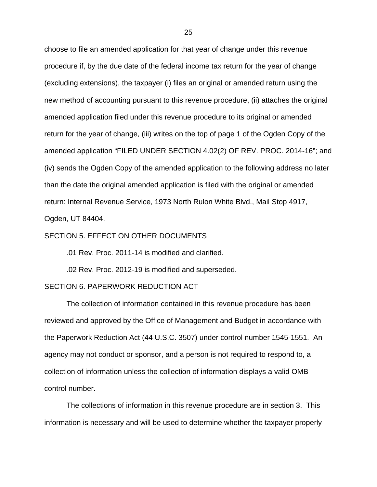choose to file an amended application for that year of change under this revenue procedure if, by the due date of the federal income tax return for the year of change (excluding extensions), the taxpayer (i) files an original or amended return using the new method of accounting pursuant to this revenue procedure, (ii) attaches the original amended application filed under this revenue procedure to its original or amended return for the year of change, (iii) writes on the top of page 1 of the Ogden Copy of the amended application "FILED UNDER SECTION 4.02(2) OF REV. PROC. 2014-16"; and (iv) sends the Ogden Copy of the amended application to the following address no later than the date the original amended application is filed with the original or amended return: Internal Revenue Service, 1973 North Rulon White Blvd., Mail Stop 4917, Ogden, UT 84404.

#### SECTION 5. EFFECT ON OTHER DOCUMENTS

.01 Rev. Proc. 2011-14 is modified and clarified.

.02 Rev. Proc. 2012-19 is modified and superseded.

#### SECTION 6. PAPERWORK REDUCTION ACT

 The collection of information contained in this revenue procedure has been reviewed and approved by the Office of Management and Budget in accordance with the Paperwork Reduction Act (44 U.S.C. 3507) under control number 1545-1551. An agency may not conduct or sponsor, and a person is not required to respond to, a collection of information unless the collection of information displays a valid OMB control number.

The collections of information in this revenue procedure are in section 3. This information is necessary and will be used to determine whether the taxpayer properly